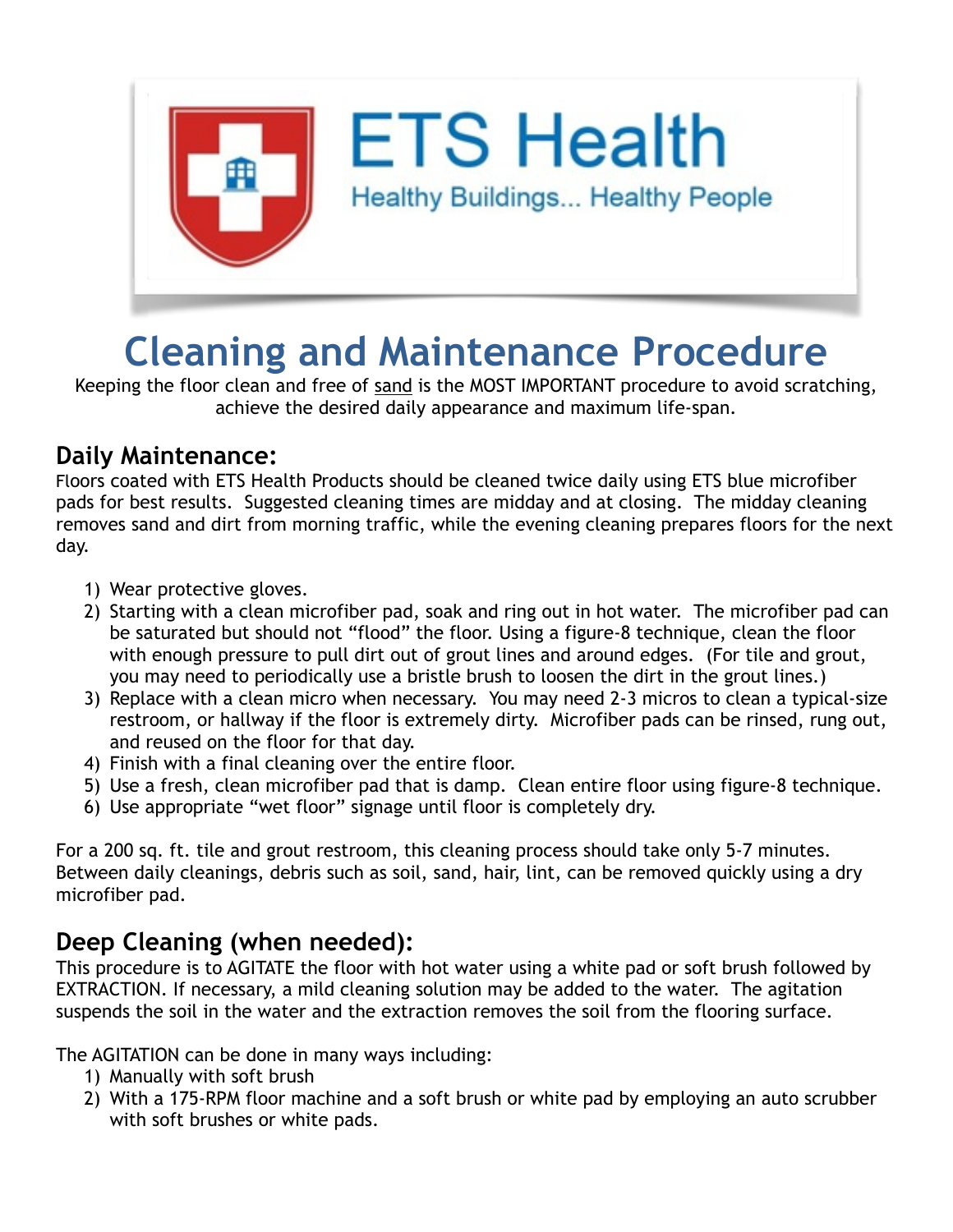

# **Cleaning and Maintenance Procedure**

Keeping the floor clean and free of sand is the MOST IMPORTANT procedure to avoid scratching, achieve the desired daily appearance and maximum life-span.

#### **Daily Maintenance:**

Floors coated with ETS Health Products should be cleaned twice daily using ETS blue microfiber pads for best results. Suggested cleaning times are midday and at closing. The midday cleaning removes sand and dirt from morning traffic, while the evening cleaning prepares floors for the next day.

- 1) Wear protective gloves.
- 2) Starting with a clean microfiber pad, soak and ring out in hot water. The microfiber pad can be saturated but should not "flood" the floor. Using a figure-8 technique, clean the floor with enough pressure to pull dirt out of grout lines and around edges. (For tile and grout, you may need to periodically use a bristle brush to loosen the dirt in the grout lines.)
- 3) Replace with a clean micro when necessary. You may need 2-3 micros to clean a typical-size restroom, or hallway if the floor is extremely dirty. Microfiber pads can be rinsed, rung out, and reused on the floor for that day.
- 4) Finish with a final cleaning over the entire floor.
- 5) Use a fresh, clean microfiber pad that is damp. Clean entire floor using figure-8 technique.
- 6) Use appropriate "wet floor" signage until floor is completely dry.

For a 200 sq. ft. tile and grout restroom, this cleaning process should take only 5-7 minutes. Between daily cleanings, debris such as soil, sand, hair, lint, can be removed quickly using a dry microfiber pad.

## **Deep Cleaning (when needed):**

This procedure is to AGITATE the floor with hot water using a white pad or soft brush followed by EXTRACTION. If necessary, a mild cleaning solution may be added to the water. The agitation suspends the soil in the water and the extraction removes the soil from the flooring surface.

The AGITATION can be done in many ways including:

- 1) Manually with soft brush
- 2) With a 175-RPM floor machine and a soft brush or white pad by employing an auto scrubber with soft brushes or white pads.